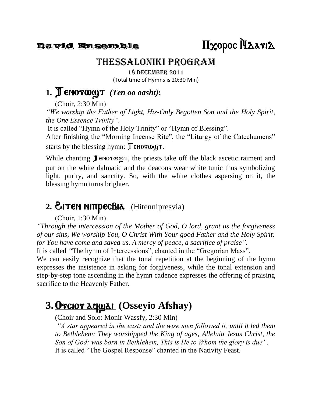## Thessaloniki Program

18 December 2011 (Total time of Hymns is 20:30 Min)

### 1. **Tenorway T** *(Ten oo oasht)*:

(Choir, 2:30 Min)

*"We worship the Father of Light, His-Only Begotten Son and the Holy Spirit, the One Essence Trinity".*

It is called "Hymn of the Holy Trinity" or "Hymn of Blessing".

After finishing the "Morning Incense Rite", the "Liturgy of the Catechumens" starts by the blessing hymn:  $\mathbb J$  enorway  $\mathbb I$ .

While chanting  $\mathbb T$  enorway  $\tau$ , the priests take off the black ascetic raiment and put on the white dalmatic and the deacons wear white tunic thus symbolizing light, purity, and sanctity. So, with the white clothes aspersing on it, the blessing hymn turns brighter.

## 2. **EITEN NITTPECBIA** (Hitennipresvia)

(Choir, 1:30 Min)

*"Through the intercession of the Mother of God, O lord, grant us the forgiveness of our sins, We worship You, O Christ With Your good Father and the Holy Spirit: for You have come and saved us. A mercy of peace, a sacrifice of praise".*

It is called *"*The hymn of Intercessions", chanted in the "Gregorian Mass".

We can easily recognize that the tonal repetition at the beginning of the hymn expresses the insistence in asking for forgiveness, while the tonal extension and step-by-step tone ascending in the hymn cadence expresses the offering of praising sacrifice to the Heavenly Father.

## 3. Orcior aqual (Osseyio Afshay)

(Choir and Solo: Monir Wassfy, 2:30 Min)

*"A star appeared in the east: and the wise men followed it, until it led them to Bethlehem: They worshipped the King of ages, Alleluia Jesus Christ, the Son of God: was born in Bethlehem, This is He to Whom the glory is due".* It is called "The Gospel Response" chanted in the Nativity Feast.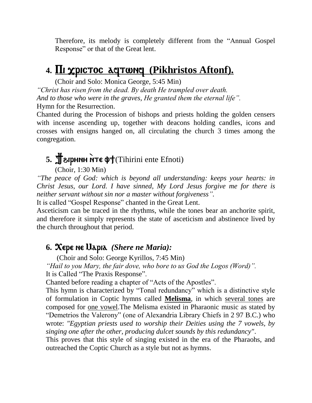Therefore, its melody is completely different from the "Annual Gospel Response" or that of the Great lent.

## 4. **III xpictoc aqtwnq (Pikhristos Aftonf).**

(Choir and Solo: Monica George, 5:45 Min) *"Christ has risen from the dead. By death He trampled over death. And to those who were in the graves, He granted them the eternal life".* Hymn for the Resurrection.

Chanted during the Procession of bishops and priests holding the golden censers with incense ascending up, together with deacons holding candles, icons and crosses with ensigns hanged on, all circulating the church 3 times among the congregation.

# 5. **Jeiphnh NTE (D)** Tihirini ente Efnoti)

(Choir, 1:30 Min)

*"The peace of God: which is beyond all understanding: keeps your hearts: in Christ Jesus, our Lord. I have sinned, My Lord Jesus forgive me for there is neither servant without sin nor a master without forgiveness".*

It is called "Gospel Response" chanted in the Great Lent.

Asceticism can be traced in the rhythms, while the tones bear an anchorite spirit, and therefore it simply represents the state of asceticism and abstinence lived by the church throughout that period.

#### **6.** Xere ne Maria*(Shere ne Maria):*

(Choir and Solo: George Kyrillos, 7:45 Min) *"Hail to you Mary, the fair dove, who bore to us God the Logos (Word)".* It is Called "The Praxis Response".

Chanted before reading a chapter of "Acts of the Apostles".

This hymn is characterized by "Tonal redundancy" which is a distinctive style of formulation in Coptic hymns called **Melisma**, in which several tones are composed for one vowel.The Melisma existed in Pharaonic music as stated by "Demetrios the Valerony" (one of Alexandria Library Chiefs in 2 97 B.C.) who wrote: *"Egyptian priests used to worship their Deities using the 7 vowels, by singing one after the other, producing dulcet sounds by this redundancy"*.

This proves that this style of singing existed in the era of the Pharaohs, and outreached the Coptic Church as a style but not as hymns.